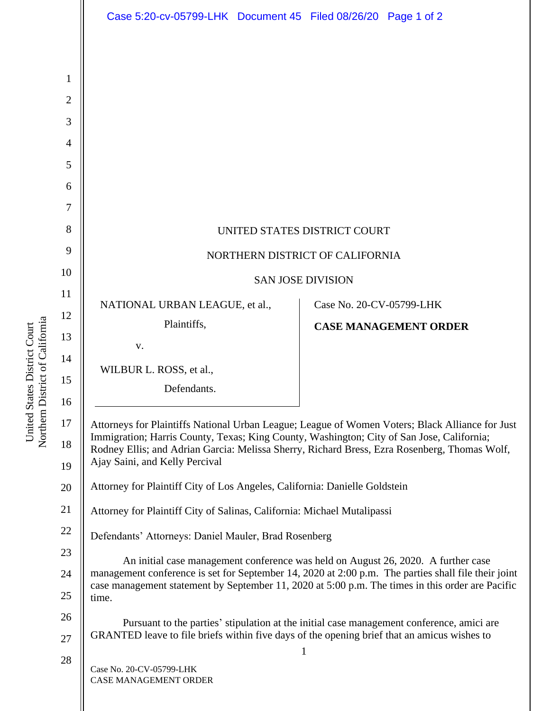|                      | Case 5:20-cv-05799-LHK Document 45 Filed 08/26/20 Page 1 of 2                                                                                                                                                                                                                                                                  |                              |  |
|----------------------|--------------------------------------------------------------------------------------------------------------------------------------------------------------------------------------------------------------------------------------------------------------------------------------------------------------------------------|------------------------------|--|
|                      |                                                                                                                                                                                                                                                                                                                                |                              |  |
| 1                    |                                                                                                                                                                                                                                                                                                                                |                              |  |
| 2                    |                                                                                                                                                                                                                                                                                                                                |                              |  |
| 3                    |                                                                                                                                                                                                                                                                                                                                |                              |  |
| 4                    |                                                                                                                                                                                                                                                                                                                                |                              |  |
| 5                    |                                                                                                                                                                                                                                                                                                                                |                              |  |
| 6                    |                                                                                                                                                                                                                                                                                                                                |                              |  |
| 7                    |                                                                                                                                                                                                                                                                                                                                |                              |  |
| 8                    | UNITED STATES DISTRICT COURT                                                                                                                                                                                                                                                                                                   |                              |  |
| 9                    | NORTHERN DISTRICT OF CALIFORNIA                                                                                                                                                                                                                                                                                                |                              |  |
| 10                   | <b>SAN JOSE DIVISION</b>                                                                                                                                                                                                                                                                                                       |                              |  |
| 11                   | NATIONAL URBAN LEAGUE, et al.,                                                                                                                                                                                                                                                                                                 | Case No. 20-CV-05799-LHK     |  |
| 12                   | Plaintiffs,                                                                                                                                                                                                                                                                                                                    | <b>CASE MANAGEMENT ORDER</b> |  |
| 13                   | V.                                                                                                                                                                                                                                                                                                                             |                              |  |
| 14                   | WILBUR L. ROSS, et al.,                                                                                                                                                                                                                                                                                                        |                              |  |
| 15                   | Defendants.                                                                                                                                                                                                                                                                                                                    |                              |  |
| 16<br>17<br>18<br>19 | Attorneys for Plaintiffs National Urban League; League of Women Voters; Black Alliance for Just<br>Immigration; Harris County, Texas; King County, Washington; City of San Jose, California;<br>Rodney Ellis; and Adrian Garcia: Melissa Sherry, Richard Bress, Ezra Rosenberg, Thomas Wolf,<br>Ajay Saini, and Kelly Percival |                              |  |
| 20                   | Attorney for Plaintiff City of Los Angeles, California: Danielle Goldstein                                                                                                                                                                                                                                                     |                              |  |
| 21                   | Attorney for Plaintiff City of Salinas, California: Michael Mutalipassi                                                                                                                                                                                                                                                        |                              |  |
| 22                   | Defendants' Attorneys: Daniel Mauler, Brad Rosenberg                                                                                                                                                                                                                                                                           |                              |  |
| 23                   | An initial case management conference was held on August 26, 2020. A further case                                                                                                                                                                                                                                              |                              |  |
| 24                   | management conference is set for September 14, 2020 at 2:00 p.m. The parties shall file their joint<br>case management statement by September 11, 2020 at 5:00 p.m. The times in this order are Pacific                                                                                                                        |                              |  |
| 25                   | time.                                                                                                                                                                                                                                                                                                                          |                              |  |
| 26                   | Pursuant to the parties' stipulation at the initial case management conference, amici are<br>GRANTED leave to file briefs within five days of the opening brief that an amicus wishes to<br>1                                                                                                                                  |                              |  |
| 27                   |                                                                                                                                                                                                                                                                                                                                |                              |  |
| 28                   | Case No. 20-CV-05799-LHK<br>CASE MANAGEMENT ORDER                                                                                                                                                                                                                                                                              |                              |  |

United States District Court<br>Northern District of California Northern District of California United States District Court

26